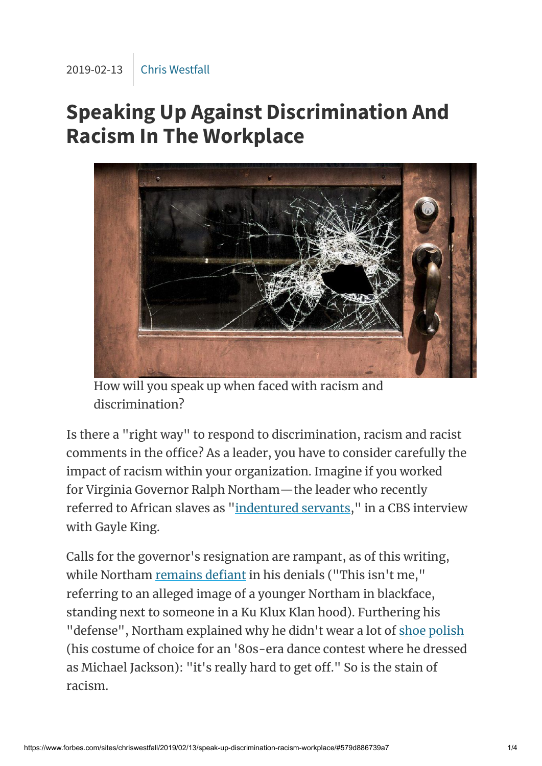## 2019-02-13 Chris Westfall

## **Speaking Up Against Discrimination And Racism In The Workplace**



How will you speak up when faced with racism and discrimination?

Is there a "right way" to respond to discrimination, racism and racist comments in the office? As a leader, you have to consider carefully the impact of racism within your organization. Imagine if you worked for Virginia Governor Ralph Northam—the leader who recently referred to African slaves as "<u>[indentured](https://www.youtube.com/watch?v=5dhXOkyeJpQ) servants</u>," in a CBS interview with Gayle King.

Calls for the governor's resignation are rampant, as of this writing, while Northam <u>[remains](https://www.cnn.com/2019/02/02/politics/northam-racist-yearbook-photo/index.html) defiant</u> in his denials ("This isn't me," referring to an alleged image of a younger Northam in blackface, standing next to someone in a Ku Klux Klan hood). Furthering his "defense", Northam explained why he didn't wear a lot of <u>shoe [polish](https://www.cbsnews.com/news/virginia-governor-ralph-northam-said-racist-photo-controversy-happened-for-a-reason/)</u> (his costume of choice for an '80s-era dance contest where he dressed as Michael Jackson): "it's really hard to get off." So is the stain of racism.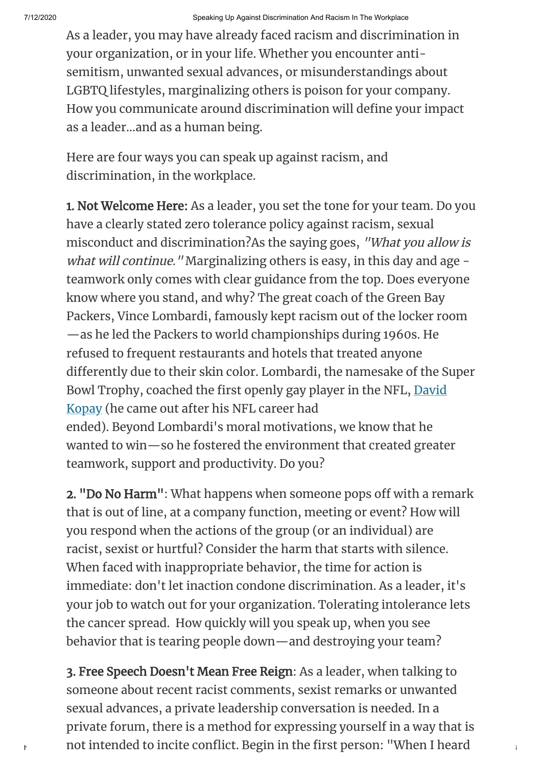As a leader, you may have already faced racism and discrimination in your organization, or in your life. Whether you encounter antisemitism, unwanted sexual advances, or misunderstandings about LGBTQ lifestyles, marginalizing others is poison for your company. How you communicate around discrimination will define your impact as a leader...and as a human being.

Here are four ways you can speak up against racism, and discrimination, in the workplace.

1. Not Welcome Here: As a leader, you set the tone for your team. Do you have a clearly stated zero tolerance policy against racism, sexual misconduct and discrimination?As the saying goes, *"What you allow is* what will continue." Marginalizing others is easy, in this day and age teamwork only comes with clear guidance from the top. Does everyone know where you stand, and why? The great coach of the Green Bay Packers, Vince Lombardi, famously kept racism out of the locker room —as he led the Packers to world championships during 1960s. He refused to frequent restaurants and hotels that treated anyone differently due to their skin color. Lombardi, the namesake of the Super Bowl Trophy, [coached](https://www.austinchronicle.com/daily/sports/2013-02-03/the-nfl-beat-lombardi-and-kopay/) the first openly gay player in the NFL, David Kopay (he came out after his NFL career had ended). Beyond Lombardi's moral motivations, we know that he wanted to win—so he fostered the environment that created greater teamwork, support and productivity. Do you?

2. "Do No Harm": What happens when someone pops off with a remark that is out of line, at a company function, meeting or event? How will you respond when the actions of the group (or an individual) are racist, sexist or hurtful? Consider the harm that starts with silence. When faced with inappropriate behavior, the time for action is immediate: don't let inaction condone discrimination. As a leader, it's your job to watch out for your organization. Tolerating intolerance lets the cancer spread. How quickly will you speak up, when you see behavior that is tearing people down—and destroying your team?

 $\theta_{\rm t}$  and intended to incite conflict. Begin in the first person: "When I heard  $\theta_{\rm t}$ 3. Free Speech Doesn't Mean Free Reign: As a leader, when talking to someone about recent racist comments, sexist remarks or unwanted sexual advances, a private leadership conversation is needed. In a private forum, there is a method for expressing yourself in a way that is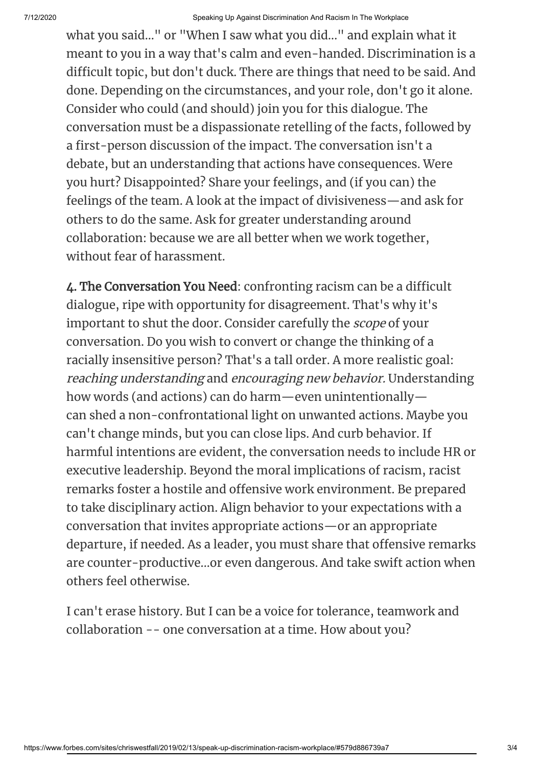what you said..." or "When I saw what you did..." and explain what it meant to you in a way that's calm and even-handed. Discrimination is a difficult topic, but don't duck. There are things that need to be said. And done. Depending on the circumstances, and your role, don't go it alone. Consider who could (and should) join you for this dialogue. The conversation must be a dispassionate retelling of the facts, followed by a first-person discussion of the impact. The conversation isn't a debate, but an understanding that actions have consequences. Were you hurt? Disappointed? Share your feelings, and (if you can) the feelings of the team. A look at the impact of divisiveness—and ask for others to do the same. Ask for greater understanding around collaboration: because we are all better when we work together, without fear of harassment.

4. The Conversation You Need: confronting racism can be a difficult dialogue, ripe with opportunity for disagreement. That's why it's important to shut the door. Consider carefully the *scope* of your conversation. Do you wish to convert or change the thinking of a racially insensitive person? That's a tall order. A more realistic goal: reaching understanding and encouraging new behavior. Understanding how words (and actions) can do harm—even unintentionally can shed a non-confrontational light on unwanted actions. Maybe you can't change minds, but you can close lips. And curb behavior. If harmful intentions are evident, the conversation needs to include HR or executive leadership. Beyond the moral implications of racism, racist remarks foster a hostile and offensive work environment. Be prepared to take disciplinary action. Align behavior to your expectations with a conversation that invites appropriate actions—or an appropriate departure, if needed. As a leader, you must share that offensive remarks are counter-productive...or even dangerous. And take swift action when others feel otherwise.

I can't erase history. But I can be a voice for tolerance, teamwork and collaboration -- one conversation at a time. How about you?